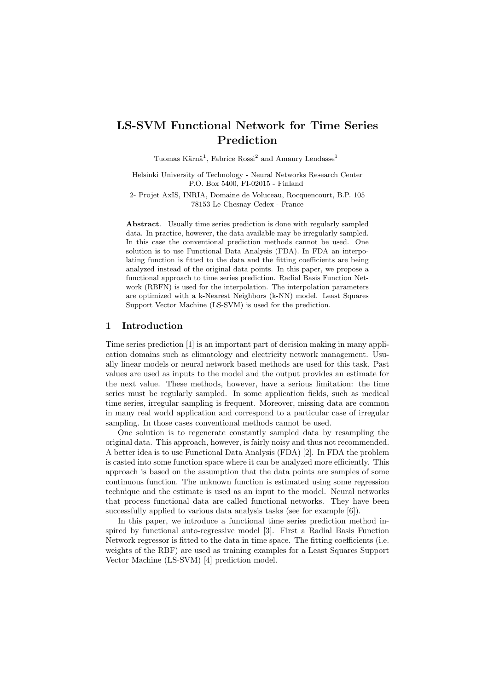# LS-SVM Functional Network for Time Series Prediction

Tuomas Kärnä<sup>1</sup>, Fabrice Rossi<sup>2</sup> and Amaury Lendasse<sup>1</sup>

Helsinki University of Technology - Neural Networks Research Center P.O. Box 5400, FI-02015 - Finland

2- Projet AxIS, INRIA, Domaine de Voluceau, Rocquencourt, B.P. 105 78153 Le Chesnay Cedex - France

Abstract. Usually time series prediction is done with regularly sampled data. In practice, however, the data available may be irregularly sampled. In this case the conventional prediction methods cannot be used. One solution is to use Functional Data Analysis (FDA). In FDA an interpolating function is fitted to the data and the fitting coefficients are being analyzed instead of the original data points. In this paper, we propose a functional approach to time series prediction. Radial Basis Function Network (RBFN) is used for the interpolation. The interpolation parameters are optimized with a k-Nearest Neighbors (k-NN) model. Least Squares Support Vector Machine (LS-SVM) is used for the prediction.

## 1 Introduction

Time series prediction [1] is an important part of decision making in many application domains such as climatology and electricity network management. Usually linear models or neural network based methods are used for this task. Past values are used as inputs to the model and the output provides an estimate for the next value. These methods, however, have a serious limitation: the time series must be regularly sampled. In some application fields, such as medical time series, irregular sampling is frequent. Moreover, missing data are common in many real world application and correspond to a particular case of irregular sampling. In those cases conventional methods cannot be used.

One solution is to regenerate constantly sampled data by resampling the original data. This approach, however, is fairly noisy and thus not recommended. A better idea is to use Functional Data Analysis (FDA) [2]. In FDA the problem is casted into some function space where it can be analyzed more efficiently. This approach is based on the assumption that the data points are samples of some continuous function. The unknown function is estimated using some regression technique and the estimate is used as an input to the model. Neural networks that process functional data are called functional networks. They have been successfully applied to various data analysis tasks (see for example [6]).

In this paper, we introduce a functional time series prediction method inspired by functional auto-regressive model [3]. First a Radial Basis Function Network regressor is fitted to the data in time space. The fitting coefficients (i.e. weights of the RBF) are used as training examples for a Least Squares Support Vector Machine (LS-SVM) [4] prediction model.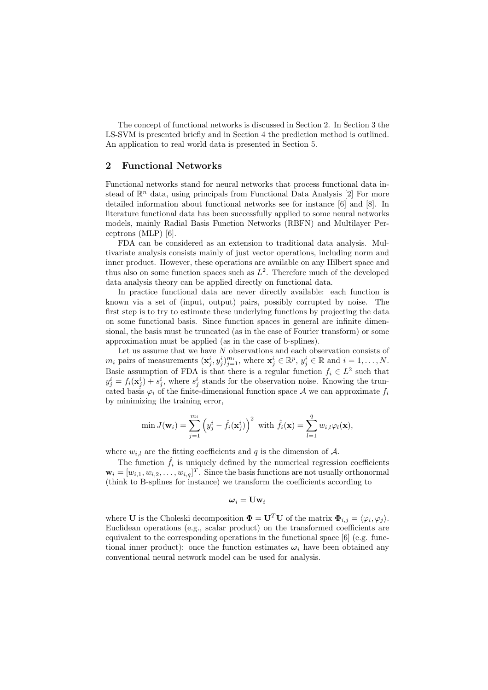The concept of functional networks is discussed in Section 2. In Section 3 the LS-SVM is presented briefly and in Section 4 the prediction method is outlined. An application to real world data is presented in Section 5.

# 2 Functional Networks

Functional networks stand for neural networks that process functional data instead of  $\mathbb{R}^n$  data, using principals from Functional Data Analysis [2] For more detailed information about functional networks see for instance [6] and [8]. In literature functional data has been successfully applied to some neural networks models, mainly Radial Basis Function Networks (RBFN) and Multilayer Perceptrons (MLP) [6].

FDA can be considered as an extension to traditional data analysis. Multivariate analysis consists mainly of just vector operations, including norm and inner product. However, these operations are available on any Hilbert space and thus also on some function spaces such as  $L^2$ . Therefore much of the developed data analysis theory can be applied directly on functional data.

In practice functional data are never directly available: each function is known via a set of (input, output) pairs, possibly corrupted by noise. The first step is to try to estimate these underlying functions by projecting the data on some functional basis. Since function spaces in general are infinite dimensional, the basis must be truncated (as in the case of Fourier transform) or some approximation must be applied (as in the case of b-splines).

Let us assume that we have  $N$  observations and each observation consists of  $m_i$  pairs of measurements  $(\mathbf{x}_j^i, y_j^i)_{j=1}^{m_i}$ , where  $\mathbf{x}_j^i \in \mathbb{R}^p$ ,  $y_j^i \in \mathbb{R}$  and  $i = 1, ..., N$ . Basic assumption of FDA is that there is a regular function  $f_i \in L^2$  such that  $y_j^i = f_i(\mathbf{x}_j^i) + s_j^i$ , where  $s_j^i$  stands for the observation noise. Knowing the truncated basis  $\varphi_i$  of the finite-dimensional function space A we can approximate  $f_i$ by minimizing the training error,

$$
\min J(\mathbf{w}_i) = \sum_{j=1}^{m_i} \left( y_j^i - \hat{f}_i(\mathbf{x}_j^i) \right)^2 \text{ with } \hat{f}_i(\mathbf{x}) = \sum_{l=1}^q w_{i,l} \varphi_l(\mathbf{x}),
$$

where  $w_{i,l}$  are the fitting coefficients and q is the dimension of A.

The function  $\hat{f}_i$  is uniquely defined by the numerical regression coefficients  $\mathbf{w}_i = [w_{i,1}, w_{i,2}, \dots, w_{i,q}]^T$ . Since the basis functions are not usually orthonormal (think to B-splines for instance) we transform the coefficients according to

$$
\boldsymbol{\omega}_i = \mathbf{U} \mathbf{w}_i
$$

where U is the Choleski decomposition  $\mathbf{\Phi} = \mathbf{U}^T \mathbf{U}$  of the matrix  $\mathbf{\Phi}_{i,j} = \langle \varphi_i, \varphi_j \rangle$ . Euclidean operations (e.g., scalar product) on the transformed coefficients are equivalent to the corresponding operations in the functional space [6] (e.g. functional inner product): once the function estimates  $\omega_i$  have been obtained any conventional neural network model can be used for analysis.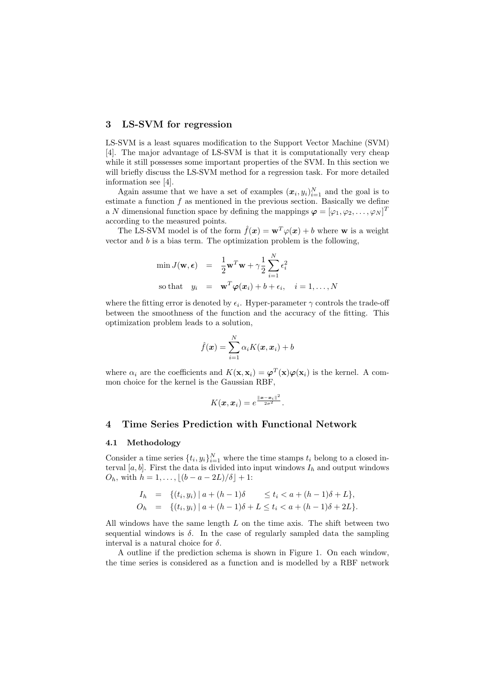## 3 LS-SVM for regression

LS-SVM is a least squares modification to the Support Vector Machine (SVM) [4]. The major advantage of LS-SVM is that it is computationally very cheap while it still possesses some important properties of the SVM. In this section we will briefly discuss the LS-SVM method for a regression task. For more detailed information see [4].

Again assume that we have a set of examples  $(x_i, y_i)_{i=1}^N$  and the goal is to estimate a function  $f$  as mentioned in the previous section. Basically we define a N dimensional function space by defining the mappings  $\boldsymbol{\varphi} = [\varphi_1, \varphi_2, \dots, \varphi_N]^T$ according to the measured points.

The LS-SVM model is of the form  $\hat{f}(\boldsymbol{x}) = \mathbf{w}^T \varphi(\boldsymbol{x}) + b$  where w is a weight vector and  $b$  is a bias term. The optimization problem is the following,

$$
\min J(\mathbf{w}, \boldsymbol{\epsilon}) = \frac{1}{2} \mathbf{w}^T \mathbf{w} + \gamma \frac{1}{2} \sum_{i=1}^N \epsilon_i^2
$$
  
so that  $y_i = \mathbf{w}^T \varphi(\mathbf{x}_i) + b + \epsilon_i, \quad i = 1, ..., N$ 

where the fitting error is denoted by  $\epsilon_i$ . Hyper-parameter  $\gamma$  controls the trade-off between the smoothness of the function and the accuracy of the fitting. This optimization problem leads to a solution,

$$
\hat{f}(\boldsymbol{x}) = \sum_{i=1}^N \alpha_i K(\boldsymbol{x}, \boldsymbol{x}_i) + b
$$

where  $\alpha_i$  are the coefficients and  $K(\mathbf{x}, \mathbf{x}_i) = \boldsymbol{\varphi}^T(\mathbf{x}) \boldsymbol{\varphi}(\mathbf{x}_i)$  is the kernel. A common choice for the kernel is the Gaussian RBF,

$$
K(\boldsymbol{x}, \boldsymbol{x}_i) = e^{\frac{\|\boldsymbol{x} - \boldsymbol{x}_i\|^2}{2\sigma^2}}.
$$

#### 4 Time Series Prediction with Functional Network

#### 4.1 Methodology

Consider a time series  $\{t_i, y_i\}_{i=1}^N$  where the time stamps  $t_i$  belong to a closed interval  $[a, b]$ . First the data is divided into input windows  $I_h$  and output windows  $O_h$ , with  $h = 1, ..., \lfloor (b - a - 2L)/\delta \rfloor + 1$ :

$$
I_h = \{(t_i, y_i) | a + (h - 1)\delta \le t_i < a + (h - 1)\delta + L\},\
$$
  
\n
$$
O_h = \{(t_i, y_i) | a + (h - 1)\delta + L \le t_i < a + (h - 1)\delta + 2L\}.
$$

All windows have the same length  $L$  on the time axis. The shift between two sequential windows is  $\delta$ . In the case of regularly sampled data the sampling interval is a natural choice for  $\delta$ .

A outline if the prediction schema is shown in Figure 1. On each window, the time series is considered as a function and is modelled by a RBF network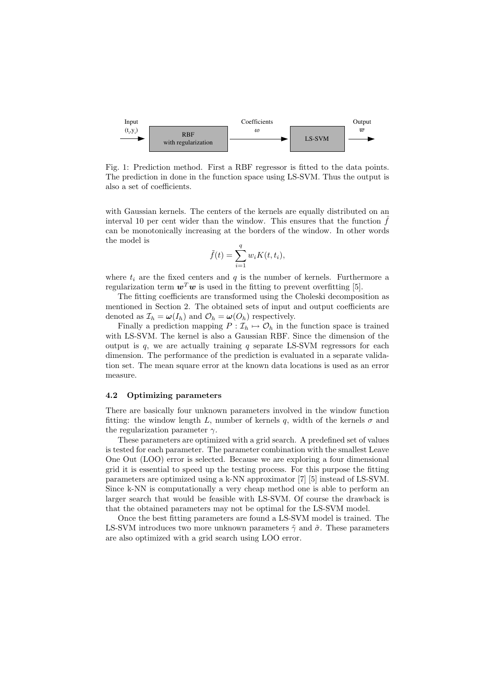

Fig. 1: Prediction method. First a RBF regressor is fitted to the data points. The prediction in done in the function space using LS-SVM. Thus the output is also a set of coefficients.

with Gaussian kernels. The centers of the kernels are equally distributed on an interval 10 per cent wider than the window. This ensures that the function  $\hat{f}$ can be monotonically increasing at the borders of the window. In other words the model is

$$
\tilde{f}(t) = \sum_{i=1}^{q} w_i K(t, t_i),
$$

where  $t_i$  are the fixed centers and q is the number of kernels. Furthermore a regularization term  $\mathbf{w}^T \mathbf{w}$  is used in the fitting to prevent overfitting [5].

The fitting coefficients are transformed using the Choleski decomposition as mentioned in Section 2. The obtained sets of input and output coefficients are denoted as  $\mathcal{I}_h = \boldsymbol{\omega}(I_h)$  and  $\mathcal{O}_h = \boldsymbol{\omega}(O_h)$  respectively.

Finally a prediction mapping  $P : \mathcal{I}_h \mapsto \mathcal{O}_h$  in the function space is trained with LS-SVM. The kernel is also a Gaussian RBF. Since the dimension of the output is  $q$ , we are actually training  $q$  separate LS-SVM regressors for each dimension. The performance of the prediction is evaluated in a separate validation set. The mean square error at the known data locations is used as an error measure.

#### 4.2 Optimizing parameters

There are basically four unknown parameters involved in the window function fitting: the window length L, number of kernels q, width of the kernels  $\sigma$  and the regularization parameter  $\gamma$ .

These parameters are optimized with a grid search. A predefined set of values is tested for each parameter. The parameter combination with the smallest Leave One Out (LOO) error is selected. Because we are exploring a four dimensional grid it is essential to speed up the testing process. For this purpose the fitting parameters are optimized using a k-NN approximator [7] [5] instead of LS-SVM. Since k-NN is computationally a very cheap method one is able to perform an larger search that would be feasible with LS-SVM. Of course the drawback is that the obtained parameters may not be optimal for the LS-SVM model.

Once the best fitting parameters are found a LS-SVM model is trained. The LS-SVM introduces two more unknown parameters  $\tilde{\gamma}$  and  $\tilde{\sigma}$ . These parameters are also optimized with a grid search using LOO error.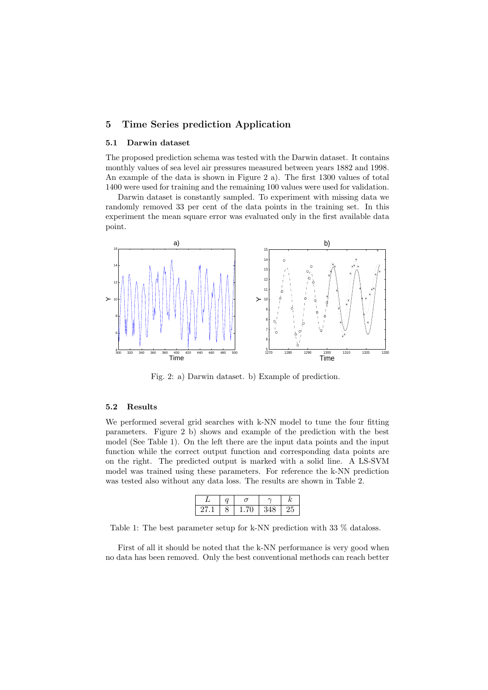# 5 Time Series prediction Application

## 5.1 Darwin dataset

The proposed prediction schema was tested with the Darwin dataset. It contains monthly values of sea level air pressures measured between years 1882 and 1998. An example of the data is shown in Figure 2 a). The first 1300 values of total 1400 were used for training and the remaining 100 values were used for validation.

Darwin dataset is constantly sampled. To experiment with missing data we randomly removed 33 per cent of the data points in the training set. In this experiment the mean square error was evaluated only in the first available data point.



Fig. 2: a) Darwin dataset. b) Example of prediction.

## 5.2 Results

We performed several grid searches with k-NN model to tune the four fitting parameters. Figure 2 b) shows and example of the prediction with the best model (See Table 1). On the left there are the input data points and the input function while the correct output function and corresponding data points are on the right. The predicted output is marked with a solid line. A LS-SVM model was trained using these parameters. For reference the k-NN prediction was tested also without any data loss. The results are shown in Table 2.

| 27.1 | χ, | 1.70 | 348 | 25 |
|------|----|------|-----|----|

Table 1: The best parameter setup for k-NN prediction with 33 % dataloss.

First of all it should be noted that the k-NN performance is very good when no data has been removed. Only the best conventional methods can reach better